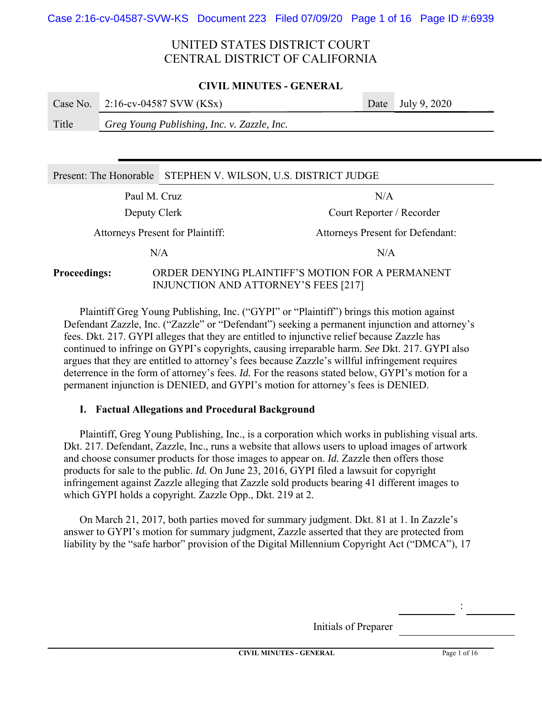### **CIVIL MINUTES - GENERAL**

|       | Case No. $2:16$ -cv-04587 SVW (KSx)         | Date July 9, $2020$ |
|-------|---------------------------------------------|---------------------|
| Title | Greg Young Publishing, Inc. v. Zazzle, Inc. |                     |
|       |                                             |                     |
|       |                                             |                     |

| Present: The Honorable STEPHEN V. WILSON, U.S. DISTRICT JUDGE                                                   |  |                           |  |  |
|-----------------------------------------------------------------------------------------------------------------|--|---------------------------|--|--|
| Paul M. Cruz<br>N/A                                                                                             |  |                           |  |  |
| Deputy Clerk                                                                                                    |  | Court Reporter / Recorder |  |  |
| <b>Attorneys Present for Plaintiff:</b><br><b>Attorneys Present for Defendant:</b>                              |  |                           |  |  |
| N/A                                                                                                             |  | N/A                       |  |  |
| ORDER DENYING PLAINTIFF'S MOTION FOR A PERMANENT<br><b>Proceedings:</b><br>INJUNCTION AND ATTORNEY'S FEES [217] |  |                           |  |  |

Plaintiff Greg Young Publishing, Inc. ("GYPI" or "Plaintiff") brings this motion against Defendant Zazzle, Inc. ("Zazzle" or "Defendant") seeking a permanent injunction and attorney's fees. Dkt. 217. GYPI alleges that they are entitled to injunctive relief because Zazzle has continued to infringe on GYPI's copyrights, causing irreparable harm. *See* Dkt. 217. GYPI also argues that they are entitled to attorney's fees because Zazzle's willful infringement requires deterrence in the form of attorney's fees. *Id.* For the reasons stated below, GYPI's motion for a permanent injunction is DENIED, and GYPI's motion for attorney's fees is DENIED.

## **I. Factual Allegations and Procedural Background**

Plaintiff, Greg Young Publishing, Inc., is a corporation which works in publishing visual arts. Dkt. 217. Defendant, Zazzle, Inc., runs a website that allows users to upload images of artwork and choose consumer products for those images to appear on. *Id.* Zazzle then offers those products for sale to the public. *Id.* On June 23, 2016, GYPI filed a lawsuit for copyright infringement against Zazzle alleging that Zazzle sold products bearing 41 different images to which GYPI holds a copyright. Zazzle Opp., Dkt. 219 at 2.

On March 21, 2017, both parties moved for summary judgment. Dkt. 81 at 1. In Zazzle's answer to GYPI's motion for summary judgment, Zazzle asserted that they are protected from liability by the "safe harbor" provision of the Digital Millennium Copyright Act ("DMCA"), 17

Initials of Preparer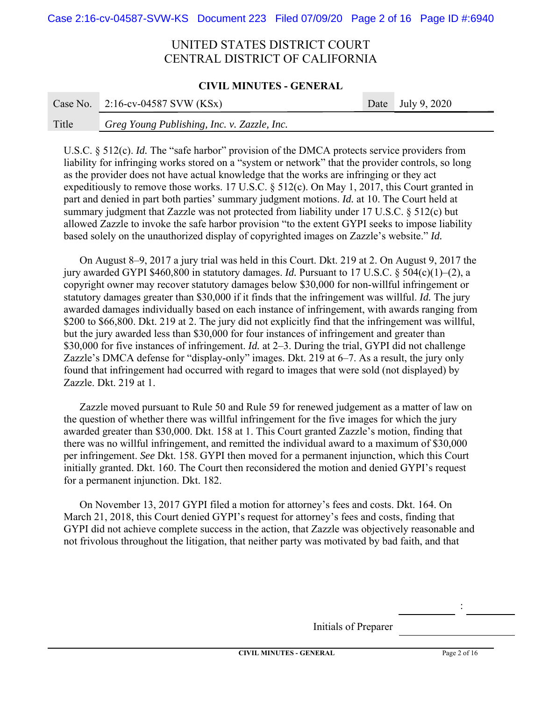### **CIVIL MINUTES - GENERAL**

|       | Case No. $2:16$ -cv-04587 SVW (KSx)         | Date July 9, 2020 |
|-------|---------------------------------------------|-------------------|
| Title | Greg Young Publishing, Inc. v. Zazzle, Inc. |                   |

U.S.C. § 512(c). *Id.* The "safe harbor" provision of the DMCA protects service providers from liability for infringing works stored on a "system or network" that the provider controls, so long as the provider does not have actual knowledge that the works are infringing or they act expeditiously to remove those works. 17 U.S.C. § 512(c). On May 1, 2017, this Court granted in part and denied in part both parties' summary judgment motions. *Id.* at 10. The Court held at summary judgment that Zazzle was not protected from liability under 17 U.S.C. § 512(c) but allowed Zazzle to invoke the safe harbor provision "to the extent GYPI seeks to impose liability based solely on the unauthorized display of copyrighted images on Zazzle's website." *Id.*

On August 8–9, 2017 a jury trial was held in this Court. Dkt. 219 at 2. On August 9, 2017 the jury awarded GYPI \$460,800 in statutory damages. *Id.* Pursuant to 17 U.S.C. § 504(c)(1)–(2), a copyright owner may recover statutory damages below \$30,000 for non-willful infringement or statutory damages greater than \$30,000 if it finds that the infringement was willful. *Id.* The jury awarded damages individually based on each instance of infringement, with awards ranging from \$200 to \$66,800. Dkt. 219 at 2. The jury did not explicitly find that the infringement was willful, but the jury awarded less than \$30,000 for four instances of infringement and greater than \$30,000 for five instances of infringement. *Id.* at 2–3. During the trial, GYPI did not challenge Zazzle's DMCA defense for "display-only" images. Dkt. 219 at 6–7. As a result, the jury only found that infringement had occurred with regard to images that were sold (not displayed) by Zazzle. Dkt. 219 at 1.

Zazzle moved pursuant to Rule 50 and Rule 59 for renewed judgement as a matter of law on the question of whether there was willful infringement for the five images for which the jury awarded greater than \$30,000. Dkt. 158 at 1. This Court granted Zazzle's motion, finding that there was no willful infringement, and remitted the individual award to a maximum of \$30,000 per infringement. *See* Dkt. 158. GYPI then moved for a permanent injunction, which this Court initially granted. Dkt. 160. The Court then reconsidered the motion and denied GYPI's request for a permanent injunction. Dkt. 182.

On November 13, 2017 GYPI filed a motion for attorney's fees and costs. Dkt. 164. On March 21, 2018, this Court denied GYPI's request for attorney's fees and costs, finding that GYPI did not achieve complete success in the action, that Zazzle was objectively reasonable and not frivolous throughout the litigation, that neither party was motivated by bad faith, and that

Initials of Preparer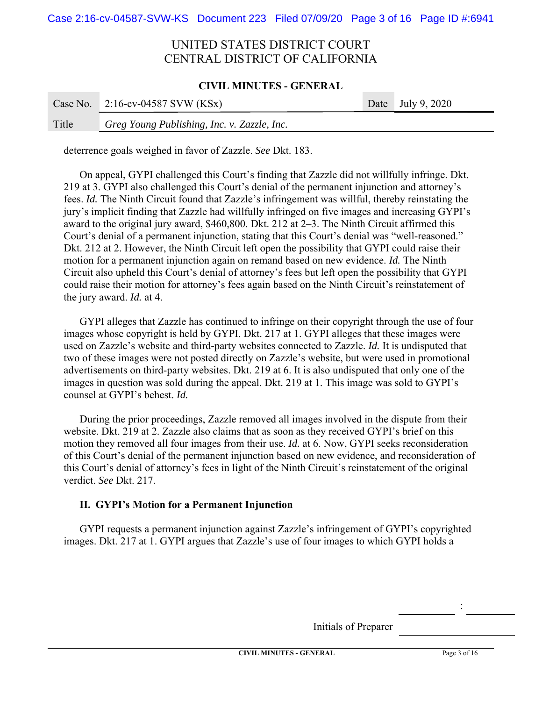### **CIVIL MINUTES - GENERAL**

|       | Case No. $2:16$ -cv-04587 SVW (KSx)         | Date July 9, 2020 |
|-------|---------------------------------------------|-------------------|
| Title | Greg Young Publishing, Inc. v. Zazzle, Inc. |                   |

deterrence goals weighed in favor of Zazzle. *See* Dkt. 183.

On appeal, GYPI challenged this Court's finding that Zazzle did not willfully infringe. Dkt. 219 at 3. GYPI also challenged this Court's denial of the permanent injunction and attorney's fees. *Id.* The Ninth Circuit found that Zazzle's infringement was willful, thereby reinstating the jury's implicit finding that Zazzle had willfully infringed on five images and increasing GYPI's award to the original jury award, \$460,800. Dkt. 212 at 2–3. The Ninth Circuit affirmed this Court's denial of a permanent injunction, stating that this Court's denial was "well-reasoned." Dkt. 212 at 2. However, the Ninth Circuit left open the possibility that GYPI could raise their motion for a permanent injunction again on remand based on new evidence. *Id.* The Ninth Circuit also upheld this Court's denial of attorney's fees but left open the possibility that GYPI could raise their motion for attorney's fees again based on the Ninth Circuit's reinstatement of the jury award. *Id.* at 4.

GYPI alleges that Zazzle has continued to infringe on their copyright through the use of four images whose copyright is held by GYPI. Dkt. 217 at 1. GYPI alleges that these images were used on Zazzle's website and third-party websites connected to Zazzle. *Id.* It is undisputed that two of these images were not posted directly on Zazzle's website, but were used in promotional advertisements on third-party websites. Dkt. 219 at 6. It is also undisputed that only one of the images in question was sold during the appeal. Dkt. 219 at 1. This image was sold to GYPI's counsel at GYPI's behest. *Id.*

During the prior proceedings, Zazzle removed all images involved in the dispute from their website. Dkt. 219 at 2. Zazzle also claims that as soon as they received GYPI's brief on this motion they removed all four images from their use. *Id.* at 6. Now, GYPI seeks reconsideration of this Court's denial of the permanent injunction based on new evidence, and reconsideration of this Court's denial of attorney's fees in light of the Ninth Circuit's reinstatement of the original verdict. *See* Dkt. 217.

## **II. GYPI's Motion for a Permanent Injunction**

GYPI requests a permanent injunction against Zazzle's infringement of GYPI's copyrighted images. Dkt. 217 at 1. GYPI argues that Zazzle's use of four images to which GYPI holds a

Initials of Preparer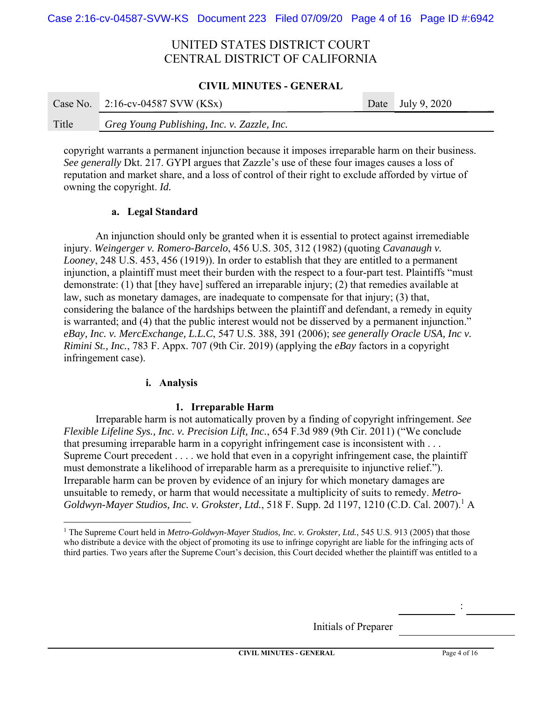### **CIVIL MINUTES - GENERAL**

|       | Case No. $2:16$ -cv-04587 SVW (KSx)         | Date July 9, $2020$ |
|-------|---------------------------------------------|---------------------|
| Title | Greg Young Publishing, Inc. v. Zazzle, Inc. |                     |

copyright warrants a permanent injunction because it imposes irreparable harm on their business. *See generally* Dkt. 217. GYPI argues that Zazzle's use of these four images causes a loss of reputation and market share, and a loss of control of their right to exclude afforded by virtue of owning the copyright. *Id.* 

## **a. Legal Standard**

An injunction should only be granted when it is essential to protect against irremediable injury. *Weingerger v. Romero-Barcelo*, 456 U.S. 305, 312 (1982) (quoting *Cavanaugh v. Looney*, 248 U.S. 453, 456 (1919)). In order to establish that they are entitled to a permanent injunction, a plaintiff must meet their burden with the respect to a four-part test. Plaintiffs "must demonstrate: (1) that [they have] suffered an irreparable injury; (2) that remedies available at law, such as monetary damages, are inadequate to compensate for that injury; (3) that, considering the balance of the hardships between the plaintiff and defendant, a remedy in equity is warranted; and (4) that the public interest would not be disserved by a permanent injunction." *eBay, Inc. v. MercExchange, L.L.C*, 547 U.S. 388, 391 (2006); *see generally Oracle USA, Inc v. Rimini St., Inc.*, 783 F. Appx. 707 (9th Cir. 2019) (applying the *eBay* factors in a copyright infringement case).

## **i. Analysis**

## **1. Irreparable Harm**

Irreparable harm is not automatically proven by a finding of copyright infringement. *See Flexible Lifeline Sys., Inc. v. Precision Lift, Inc.*, 654 F.3d 989 (9th Cir. 2011) ("We conclude that presuming irreparable harm in a copyright infringement case is inconsistent with . . . Supreme Court precedent . . . . we hold that even in a copyright infringement case, the plaintiff must demonstrate a likelihood of irreparable harm as a prerequisite to injunctive relief."). Irreparable harm can be proven by evidence of an injury for which monetary damages are unsuitable to remedy, or harm that would necessitate a multiplicity of suits to remedy. *Metro-*Goldwyn-Mayer Studios, Inc. v. Grokster, Ltd., 518 F. Supp. 2d 1197, 1210 (C.D. Cal. 2007).<sup>1</sup> A

Initials of Preparer

<sup>&</sup>lt;sup>1</sup> The Supreme Court held in *Metro-Goldwyn-Mayer Studios, Inc. v. Grokster, Ltd.*, 545 U.S. 913 (2005) that those who distribute a device with the object of promoting its use to infringe copyright are liable for the infringing acts of third parties. Two years after the Supreme Court's decision, this Court decided whether the plaintiff was entitled to a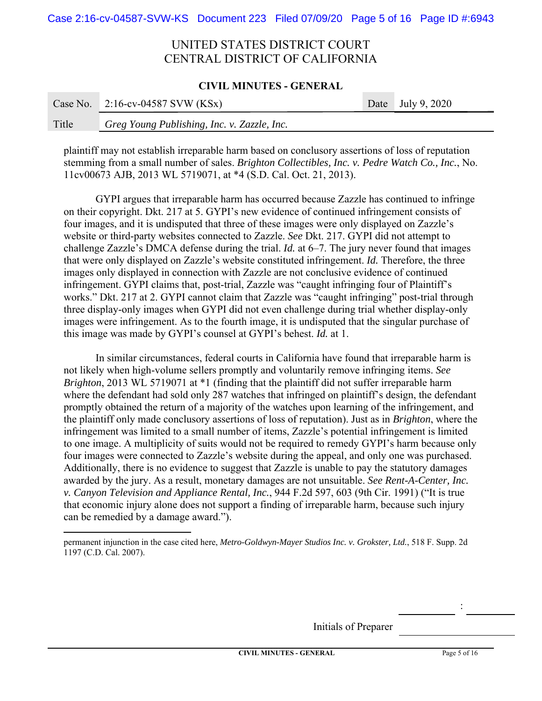### **CIVIL MINUTES - GENERAL**

|       | Case No. $2:16$ -cv-04587 SVW (KSx)         | Date July 9, 2020 |
|-------|---------------------------------------------|-------------------|
| Title | Greg Young Publishing, Inc. v. Zazzle, Inc. |                   |

plaintiff may not establish irreparable harm based on conclusory assertions of loss of reputation stemming from a small number of sales. *Brighton Collectibles, Inc. v. Pedre Watch Co., Inc.*, No. 11cv00673 AJB, 2013 WL 5719071, at \*4 (S.D. Cal. Oct. 21, 2013).

GYPI argues that irreparable harm has occurred because Zazzle has continued to infringe on their copyright. Dkt. 217 at 5. GYPI's new evidence of continued infringement consists of four images, and it is undisputed that three of these images were only displayed on Zazzle's website or third-party websites connected to Zazzle. *See* Dkt. 217. GYPI did not attempt to challenge Zazzle's DMCA defense during the trial. *Id.* at 6–7. The jury never found that images that were only displayed on Zazzle's website constituted infringement. *Id.* Therefore, the three images only displayed in connection with Zazzle are not conclusive evidence of continued infringement. GYPI claims that, post-trial, Zazzle was "caught infringing four of Plaintiff's works." Dkt. 217 at 2. GYPI cannot claim that Zazzle was "caught infringing" post-trial through three display-only images when GYPI did not even challenge during trial whether display-only images were infringement. As to the fourth image, it is undisputed that the singular purchase of this image was made by GYPI's counsel at GYPI's behest. *Id.* at 1.

 In similar circumstances, federal courts in California have found that irreparable harm is not likely when high-volume sellers promptly and voluntarily remove infringing items. *See Brighton*, 2013 WL 5719071 at \*1 (finding that the plaintiff did not suffer irreparable harm where the defendant had sold only 287 watches that infringed on plaintiff's design, the defendant promptly obtained the return of a majority of the watches upon learning of the infringement, and the plaintiff only made conclusory assertions of loss of reputation). Just as in *Brighton*, where the infringement was limited to a small number of items, Zazzle's potential infringement is limited to one image. A multiplicity of suits would not be required to remedy GYPI's harm because only four images were connected to Zazzle's website during the appeal, and only one was purchased. Additionally, there is no evidence to suggest that Zazzle is unable to pay the statutory damages awarded by the jury. As a result, monetary damages are not unsuitable. *See Rent-A-Center, Inc. v. Canyon Television and Appliance Rental, Inc.*, 944 F.2d 597, 603 (9th Cir. 1991) ("It is true that economic injury alone does not support a finding of irreparable harm, because such injury can be remedied by a damage award.").

Initials of Preparer

permanent injunction in the case cited here, *Metro-Goldwyn-Mayer Studios Inc. v. Grokster, Ltd.*, 518 F. Supp. 2d 1197 (C.D. Cal. 2007).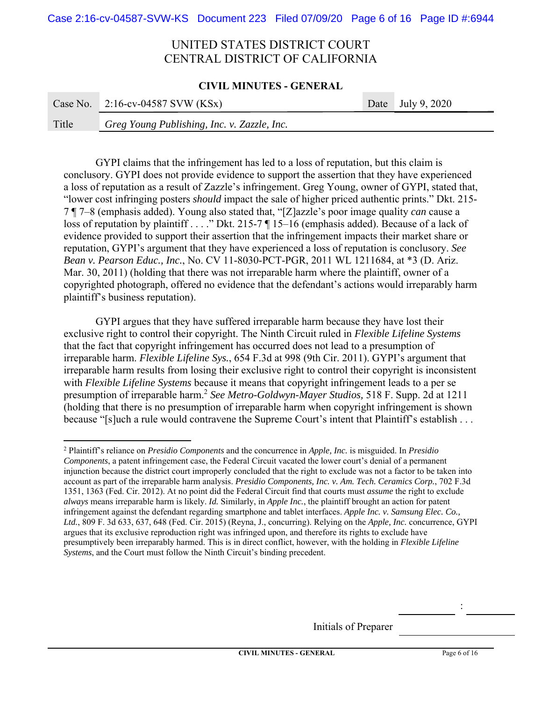#### **CIVIL MINUTES - GENERAL**

|       | Case No. $2:16$ -cv-04587 SVW (KSx)         | Date July 9, 2020 |
|-------|---------------------------------------------|-------------------|
| Title | Greg Young Publishing, Inc. v. Zazzle, Inc. |                   |

GYPI claims that the infringement has led to a loss of reputation, but this claim is conclusory. GYPI does not provide evidence to support the assertion that they have experienced a loss of reputation as a result of Zazzle's infringement. Greg Young, owner of GYPI, stated that, "lower cost infringing posters *should* impact the sale of higher priced authentic prints." Dkt. 215- 7 ¶ 7–8 (emphasis added). Young also stated that, "[Z]azzle's poor image quality *can* cause a loss of reputation by plaintiff . . . ." Dkt. 215-7 ¶ 15–16 (emphasis added). Because of a lack of evidence provided to support their assertion that the infringement impacts their market share or reputation, GYPI's argument that they have experienced a loss of reputation is conclusory. *See Bean v. Pearson Educ., Inc.*, No. CV 11-8030-PCT-PGR, 2011 WL 1211684, at \*3 (D. Ariz. Mar. 30, 2011) (holding that there was not irreparable harm where the plaintiff, owner of a copyrighted photograph, offered no evidence that the defendant's actions would irreparably harm plaintiff's business reputation).

GYPI argues that they have suffered irreparable harm because they have lost their exclusive right to control their copyright. The Ninth Circuit ruled in *Flexible Lifeline Systems*  that the fact that copyright infringement has occurred does not lead to a presumption of irreparable harm. *Flexible Lifeline Sys.*, 654 F.3d at 998 (9th Cir. 2011). GYPI's argument that irreparable harm results from losing their exclusive right to control their copyright is inconsistent with *Flexible Lifeline Systems* because it means that copyright infringement leads to a per se presumption of irreparable harm.2 *See Metro-Goldwyn-Mayer Studios,* 518 F. Supp. 2d at 1211 (holding that there is no presumption of irreparable harm when copyright infringement is shown because "[s]uch a rule would contravene the Supreme Court's intent that Plaintiff's establish . . .

Initials of Preparer

<sup>2</sup> Plaintiff's reliance on *Presidio Components* and the concurrence in *Apple, Inc.* is misguided. In *Presidio Components*, a patent infringement case, the Federal Circuit vacated the lower court's denial of a permanent injunction because the district court improperly concluded that the right to exclude was not a factor to be taken into account as part of the irreparable harm analysis. *Presidio Components, Inc. v. Am. Tech. Ceramics Corp.*, 702 F.3d 1351, 1363 (Fed. Cir. 2012). At no point did the Federal Circuit find that courts must *assume* the right to exclude *always* means irreparable harm is likely. *Id.* Similarly, in *Apple Inc.*, the plaintiff brought an action for patent infringement against the defendant regarding smartphone and tablet interfaces. *Apple Inc. v. Samsung Elec. Co., Ltd.*, 809 F. 3d 633, 637, 648 (Fed. Cir. 2015) (Reyna, J., concurring). Relying on the *Apple, Inc.* concurrence, GYPI argues that its exclusive reproduction right was infringed upon, and therefore its rights to exclude have presumptively been irreparably harmed. This is in direct conflict, however, with the holding in *Flexible Lifeline Systems*, and the Court must follow the Ninth Circuit's binding precedent.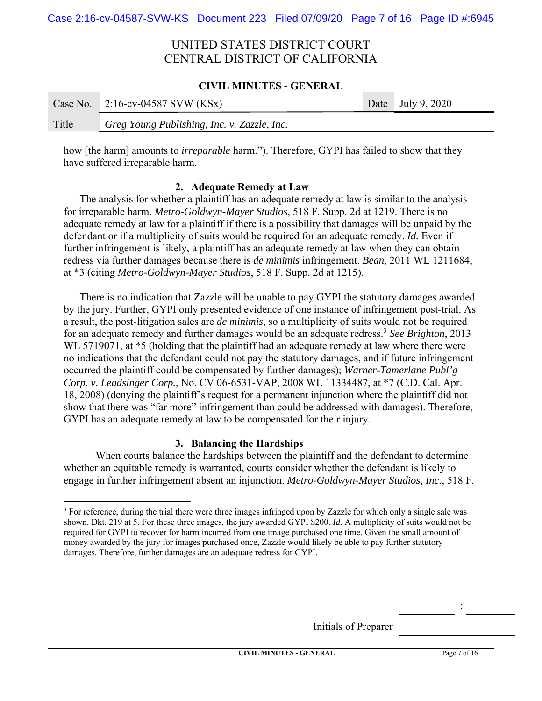### **CIVIL MINUTES - GENERAL**

|       | Case No. $2:16$ -cv-04587 SVW (KSx)         | Date July 9, $2020$ |
|-------|---------------------------------------------|---------------------|
| Title | Greg Young Publishing, Inc. v. Zazzle, Inc. |                     |

how [the harm] amounts to *irreparable* harm."). Therefore, GYPI has failed to show that they have suffered irreparable harm.

## **2. Adequate Remedy at Law**

The analysis for whether a plaintiff has an adequate remedy at law is similar to the analysis for irreparable harm. *Metro-Goldwyn-Mayer Studios*, 518 F. Supp. 2d at 1219. There is no adequate remedy at law for a plaintiff if there is a possibility that damages will be unpaid by the defendant or if a multiplicity of suits would be required for an adequate remedy. *Id.* Even if further infringement is likely, a plaintiff has an adequate remedy at law when they can obtain redress via further damages because there is *de minimis* infringement. *Bean*, 2011 WL 1211684, at \*3 (citing *Metro-Goldwyn-Mayer Studios*, 518 F. Supp. 2d at 1215).

There is no indication that Zazzle will be unable to pay GYPI the statutory damages awarded by the jury. Further, GYPI only presented evidence of one instance of infringement post-trial. As a result, the post-litigation sales are *de minimis*, so a multiplicity of suits would not be required for an adequate remedy and further damages would be an adequate redress.<sup>3</sup> *See Brighton*, 2013 WL 5719071, at  $*5$  (holding that the plaintiff had an adequate remedy at law where there were no indications that the defendant could not pay the statutory damages, and if future infringement occurred the plaintiff could be compensated by further damages); *Warner-Tamerlane Publ'g Corp. v. Leadsinger Corp.*, No. CV 06-6531-VAP, 2008 WL 11334487, at \*7 (C.D. Cal. Apr. 18, 2008) (denying the plaintiff's request for a permanent injunction where the plaintiff did not show that there was "far more" infringement than could be addressed with damages). Therefore, GYPI has an adequate remedy at law to be compensated for their injury.

## **3. Balancing the Hardships**

When courts balance the hardships between the plaintiff and the defendant to determine whether an equitable remedy is warranted, courts consider whether the defendant is likely to engage in further infringement absent an injunction. *Metro-Goldwyn-Mayer Studios, Inc.*, 518 F.

Initials of Preparer

<sup>&</sup>lt;sup>3</sup> For reference, during the trial there were three images infringed upon by Zazzle for which only a single sale was shown. Dkt. 219 at 5. For these three images, the jury awarded GYPI \$200. *Id.* A multiplicity of suits would not be required for GYPI to recover for harm incurred from one image purchased one time. Given the small amount of money awarded by the jury for images purchased once, Zazzle would likely be able to pay further statutory damages. Therefore, further damages are an adequate redress for GYPI.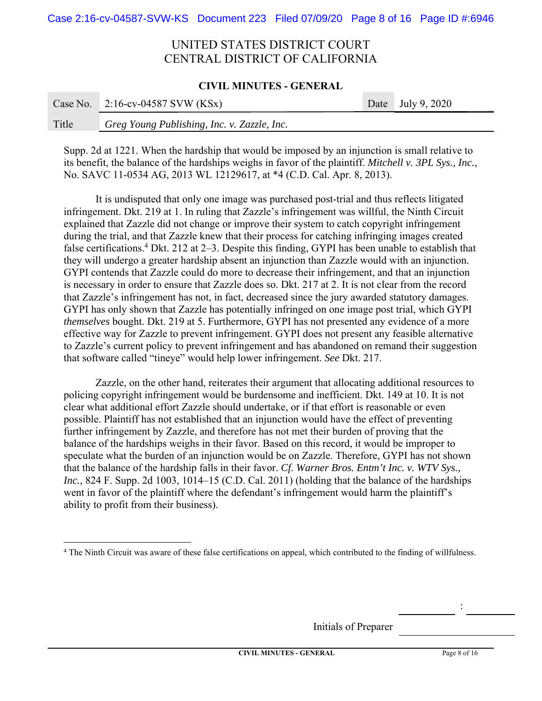### **CIVIL MINUTES - GENERAL**

|       | Case No. $2:16$ -cv-04587 SVW (KSx)         | Date July 9, 2020 |
|-------|---------------------------------------------|-------------------|
| Title | Greg Young Publishing, Inc. v. Zazzle, Inc. |                   |

Supp. 2d at 1221. When the hardship that would be imposed by an injunction is small relative to its benefit, the balance of the hardships weighs in favor of the plaintiff. *Mitchell v. 3PL Sys., Inc.*, No. SAVC 11-0534 AG, 2013 WL 12129617, at \*4 (C.D. Cal. Apr. 8, 2013).

It is undisputed that only one image was purchased post-trial and thus reflects litigated infringement. Dkt. 219 at 1. In ruling that Zazzle's infringement was willful, the Ninth Circuit explained that Zazzle did not change or improve their system to catch copyright infringement during the trial, and that Zazzle knew that their process for catching infringing images created false certifications.<sup>4</sup> Dkt. 212 at 2–3. Despite this finding, GYPI has been unable to establish that they will undergo a greater hardship absent an injunction than Zazzle would with an injunction. GYPI contends that Zazzle could do more to decrease their infringement, and that an injunction is necessary in order to ensure that Zazzle does so. Dkt. 217 at 2. It is not clear from the record that Zazzle's infringement has not, in fact, decreased since the jury awarded statutory damages. GYPI has only shown that Zazzle has potentially infringed on one image post trial, which GYPI *themselves* bought. Dkt. 219 at 5. Furthermore, GYPI has not presented any evidence of a more effective way for Zazzle to prevent infringement. GYPI does not present any feasible alternative to Zazzle's current policy to prevent infringement and has abandoned on remand their suggestion that software called "tineye" would help lower infringement. *See* Dkt. 217.

Zazzle, on the other hand, reiterates their argument that allocating additional resources to policing copyright infringement would be burdensome and inefficient. Dkt. 149 at 10. It is not clear what additional effort Zazzle should undertake, or if that effort is reasonable or even possible. Plaintiff has not established that an injunction would have the effect of preventing further infringement by Zazzle, and therefore has not met their burden of proving that the balance of the hardships weighs in their favor. Based on this record, it would be improper to speculate what the burden of an injunction would be on Zazzle. Therefore, GYPI has not shown that the balance of the hardship falls in their favor. *Cf. Warner Bros. Entm't Inc. v. WTV Sys., Inc.*, 824 F. Supp. 2d 1003, 1014–15 (C.D. Cal. 2011) (holding that the balance of the hardships went in favor of the plaintiff where the defendant's infringement would harm the plaintiff's ability to profit from their business).

Initials of Preparer

<sup>&</sup>lt;sup>4</sup> The Ninth Circuit was aware of these false certifications on appeal, which contributed to the finding of willfulness.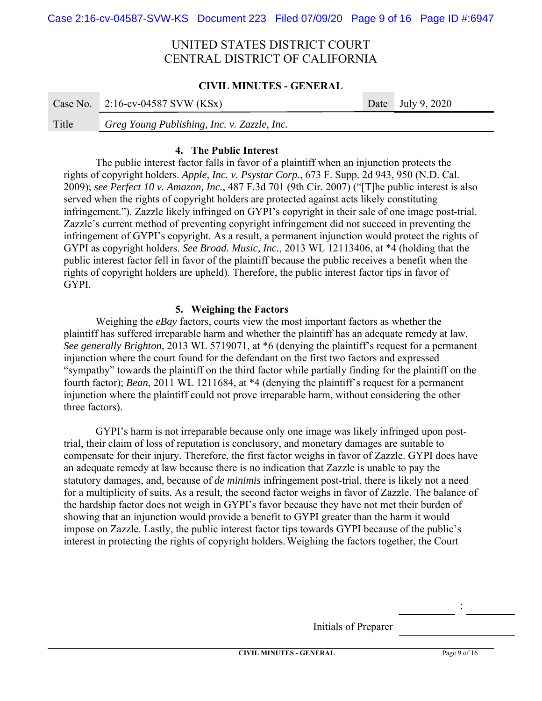### **CIVIL MINUTES - GENERAL**

|       | Case No. $2:16$ -cv-04587 SVW (KSx)         | Date July 9, $2020$ |
|-------|---------------------------------------------|---------------------|
| Title | Greg Young Publishing, Inc. v. Zazzle, Inc. |                     |

## **4. The Public Interest**

The public interest factor falls in favor of a plaintiff when an injunction protects the rights of copyright holders. *Apple, Inc. v. Psystar Corp.*, 673 F. Supp. 2d 943, 950 (N.D. Cal. 2009); *see Perfect 10 v. Amazon, Inc.*, 487 F.3d 701 (9th Cir. 2007) ("[T]he public interest is also served when the rights of copyright holders are protected against acts likely constituting infringement."). Zazzle likely infringed on GYPI's copyright in their sale of one image post-trial. Zazzle's current method of preventing copyright infringement did not succeed in preventing the infringement of GYPI's copyright. As a result, a permanent injunction would protect the rights of GYPI as copyright holders. *See Broad. Music, Inc.*, 2013 WL 12113406, at \*4 (holding that the public interest factor fell in favor of the plaintiff because the public receives a benefit when the rights of copyright holders are upheld). Therefore, the public interest factor tips in favor of GYPI.

## **5. Weighing the Factors**

Weighing the *eBay* factors, courts view the most important factors as whether the plaintiff has suffered irreparable harm and whether the plaintiff has an adequate remedy at law. *See generally Brighton*, 2013 WL 5719071, at \*6 (denying the plaintiff's request for a permanent injunction where the court found for the defendant on the first two factors and expressed "sympathy" towards the plaintiff on the third factor while partially finding for the plaintiff on the fourth factor); *Bean*, 2011 WL 1211684, at \*4 (denying the plaintiff's request for a permanent injunction where the plaintiff could not prove irreparable harm, without considering the other three factors).

GYPI's harm is not irreparable because only one image was likely infringed upon posttrial, their claim of loss of reputation is conclusory, and monetary damages are suitable to compensate for their injury. Therefore, the first factor weighs in favor of Zazzle. GYPI does have an adequate remedy at law because there is no indication that Zazzle is unable to pay the statutory damages, and, because of *de minimis* infringement post-trial, there is likely not a need for a multiplicity of suits. As a result, the second factor weighs in favor of Zazzle. The balance of the hardship factor does not weigh in GYPI's favor because they have not met their burden of showing that an injunction would provide a benefit to GYPI greater than the harm it would impose on Zazzle. Lastly, the public interest factor tips towards GYPI because of the public's interest in protecting the rights of copyright holders. Weighing the factors together, the Court

Initials of Preparer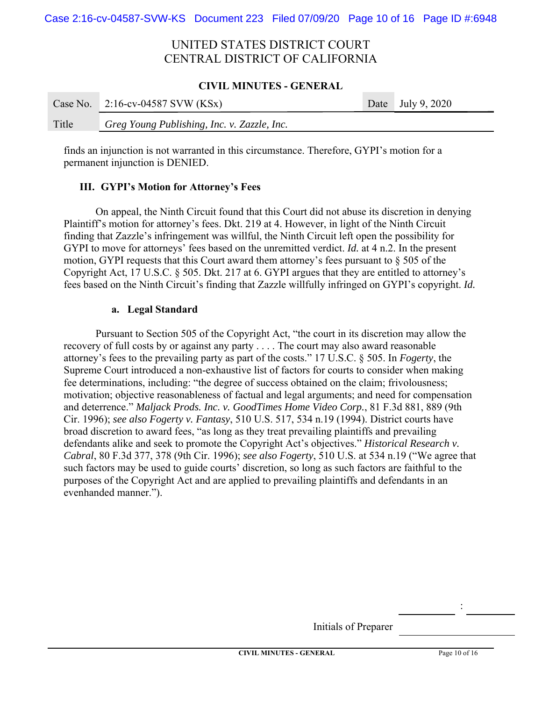### **CIVIL MINUTES - GENERAL**

|       | Case No. $2:16$ -cv-04587 SVW (KSx)         | Date July 9, $2020$ |
|-------|---------------------------------------------|---------------------|
| Title | Greg Young Publishing, Inc. v. Zazzle, Inc. |                     |

finds an injunction is not warranted in this circumstance. Therefore, GYPI's motion for a permanent injunction is DENIED.

## **III. GYPI's Motion for Attorney's Fees**

On appeal, the Ninth Circuit found that this Court did not abuse its discretion in denying Plaintiff's motion for attorney's fees. Dkt. 219 at 4. However, in light of the Ninth Circuit finding that Zazzle's infringement was willful, the Ninth Circuit left open the possibility for GYPI to move for attorneys' fees based on the unremitted verdict. *Id.* at 4 n.2. In the present motion, GYPI requests that this Court award them attorney's fees pursuant to § 505 of the Copyright Act, 17 U.S.C. § 505. Dkt. 217 at 6. GYPI argues that they are entitled to attorney's fees based on the Ninth Circuit's finding that Zazzle willfully infringed on GYPI's copyright. *Id.*

## **a. Legal Standard**

Pursuant to Section 505 of the Copyright Act, "the court in its discretion may allow the recovery of full costs by or against any party . . . . The court may also award reasonable attorney's fees to the prevailing party as part of the costs." 17 U.S.C. § 505. In *Fogerty*, the Supreme Court introduced a non-exhaustive list of factors for courts to consider when making fee determinations, including: "the degree of success obtained on the claim; frivolousness; motivation; objective reasonableness of factual and legal arguments; and need for compensation and deterrence." *Maljack Prods. Inc. v. GoodTimes Home Video Corp.*, 81 F.3d 881, 889 (9th Cir. 1996); *see also Fogerty v. Fantasy*, 510 U.S. 517, 534 n.19 (1994). District courts have broad discretion to award fees, "as long as they treat prevailing plaintiffs and prevailing defendants alike and seek to promote the Copyright Act's objectives." *Historical Research v. Cabral*, 80 F.3d 377, 378 (9th Cir. 1996); *see also Fogerty*, 510 U.S. at 534 n.19 ("We agree that such factors may be used to guide courts' discretion, so long as such factors are faithful to the purposes of the Copyright Act and are applied to prevailing plaintiffs and defendants in an evenhanded manner.").

Initials of Preparer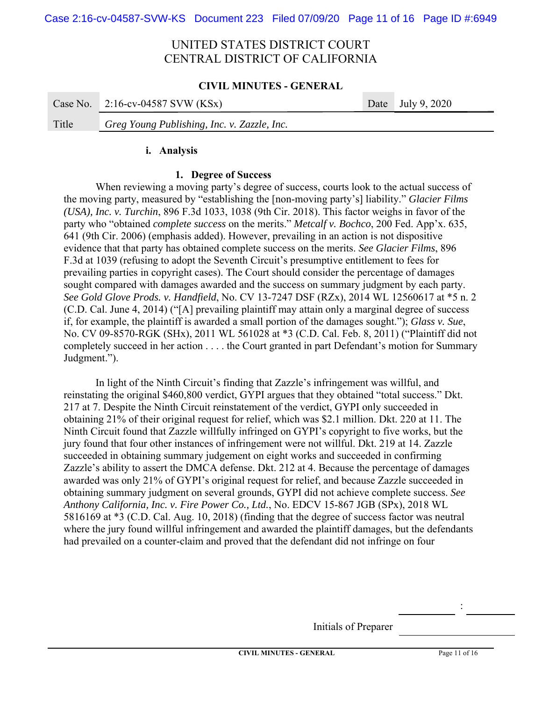### **CIVIL MINUTES - GENERAL**

|       | Case No. $2:16$ -cv-04587 SVW (KSx)         | Date July 9, $2020$ |
|-------|---------------------------------------------|---------------------|
| Title | Greg Young Publishing, Inc. v. Zazzle, Inc. |                     |

### **i. Analysis**

## **1. Degree of Success**

When reviewing a moving party's degree of success, courts look to the actual success of the moving party, measured by "establishing the [non-moving party's] liability." *Glacier Films (USA), Inc. v. Turchin*, 896 F.3d 1033, 1038 (9th Cir. 2018). This factor weighs in favor of the party who "obtained *complete success* on the merits." *Metcalf v. Bochco*, 200 Fed. App'x. 635, 641 (9th Cir. 2006) (emphasis added). However, prevailing in an action is not dispositive evidence that that party has obtained complete success on the merits. *See Glacier Films*, 896 F.3d at 1039 (refusing to adopt the Seventh Circuit's presumptive entitlement to fees for prevailing parties in copyright cases). The Court should consider the percentage of damages sought compared with damages awarded and the success on summary judgment by each party. *See Gold Glove Prods. v. Handfield*, No. CV 13-7247 DSF (RZx), 2014 WL 12560617 at \*5 n. 2 (C.D. Cal. June 4, 2014) ("[A] prevailing plaintiff may attain only a marginal degree of success if, for example, the plaintiff is awarded a small portion of the damages sought."); *Glass v. Sue*, No. CV 09-8570-RGK (SHx), 2011 WL 561028 at \*3 (C.D. Cal. Feb. 8, 2011) ("Plaintiff did not completely succeed in her action . . . . the Court granted in part Defendant's motion for Summary Judgment.").

In light of the Ninth Circuit's finding that Zazzle's infringement was willful, and reinstating the original \$460,800 verdict, GYPI argues that they obtained "total success." Dkt. 217 at 7. Despite the Ninth Circuit reinstatement of the verdict, GYPI only succeeded in obtaining 21% of their original request for relief, which was \$2.1 million. Dkt. 220 at 11. The Ninth Circuit found that Zazzle willfully infringed on GYPI's copyright to five works, but the jury found that four other instances of infringement were not willful. Dkt. 219 at 14. Zazzle succeeded in obtaining summary judgement on eight works and succeeded in confirming Zazzle's ability to assert the DMCA defense. Dkt. 212 at 4. Because the percentage of damages awarded was only 21% of GYPI's original request for relief, and because Zazzle succeeded in obtaining summary judgment on several grounds, GYPI did not achieve complete success. *See Anthony California, Inc. v. Fire Power Co., Ltd.*, No. EDCV 15-867 JGB (SPx), 2018 WL 5816169 at \*3 (C.D. Cal. Aug. 10, 2018) (finding that the degree of success factor was neutral where the jury found willful infringement and awarded the plaintiff damages, but the defendants had prevailed on a counter-claim and proved that the defendant did not infringe on four

Initials of Preparer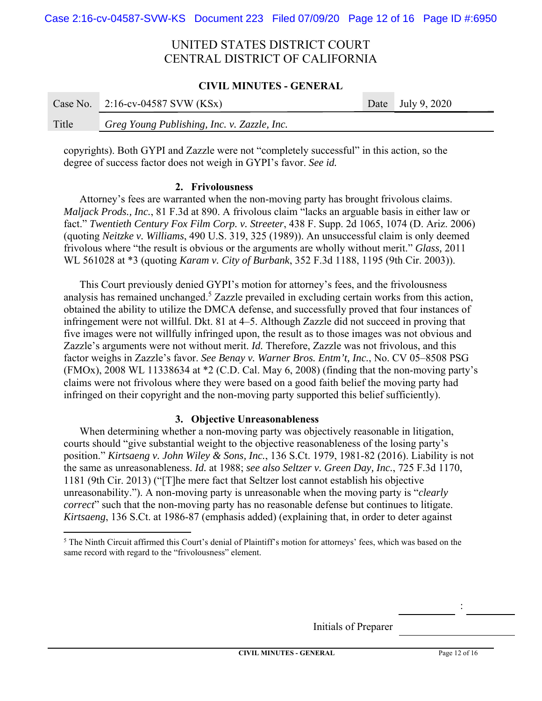### **CIVIL MINUTES - GENERAL**

|       | Case No. $2:16$ -cv-04587 SVW (KSx)         | Date July 9, $2020$ |
|-------|---------------------------------------------|---------------------|
| Title | Greg Young Publishing, Inc. v. Zazzle, Inc. |                     |

copyrights). Both GYPI and Zazzle were not "completely successful" in this action, so the degree of success factor does not weigh in GYPI's favor. *See id.*

### **2. Frivolousness**

Attorney's fees are warranted when the non-moving party has brought frivolous claims. *Maljack Prods., Inc.*, 81 F.3d at 890. A frivolous claim "lacks an arguable basis in either law or fact." *Twentieth Century Fox Film Corp. v. Streeter*, 438 F. Supp. 2d 1065, 1074 (D. Ariz. 2006) (quoting *Neitzke v. Williams*, 490 U.S. 319, 325 (1989)). An unsuccessful claim is only deemed frivolous where "the result is obvious or the arguments are wholly without merit." *Glass,* 2011 WL 561028 at \*3 (quoting *Karam v. City of Burbank*, 352 F.3d 1188, 1195 (9th Cir. 2003)).

This Court previously denied GYPI's motion for attorney's fees, and the frivolousness analysis has remained unchanged.<sup>5</sup> Zazzle prevailed in excluding certain works from this action, obtained the ability to utilize the DMCA defense, and successfully proved that four instances of infringement were not willful. Dkt. 81 at 4–5. Although Zazzle did not succeed in proving that five images were not willfully infringed upon, the result as to those images was not obvious and Zazzle's arguments were not without merit. *Id.* Therefore, Zazzle was not frivolous, and this factor weighs in Zazzle's favor. *See Benay v. Warner Bros. Entm't, Inc.*, No. CV 05–8508 PSG (FMOx), 2008 WL 11338634 at  $*2$  (C.D. Cal. May 6, 2008) (finding that the non-moving party's claims were not frivolous where they were based on a good faith belief the moving party had infringed on their copyright and the non-moving party supported this belief sufficiently).

## **3. Objective Unreasonableness**

When determining whether a non-moving party was objectively reasonable in litigation, courts should "give substantial weight to the objective reasonableness of the losing party's position." *Kirtsaeng v. John Wiley & Sons, Inc.*, 136 S.Ct. 1979, 1981-82 (2016). Liability is not the same as unreasonableness. *Id.* at 1988; *see also Seltzer v. Green Day, Inc.*, 725 F.3d 1170, 1181 (9th Cir. 2013) ("[T]he mere fact that Seltzer lost cannot establish his objective unreasonability."). A non-moving party is unreasonable when the moving party is "*clearly correct*" such that the non-moving party has no reasonable defense but continues to litigate. *Kirtsaeng*, 136 S.Ct. at 1986-87 (emphasis added) (explaining that, in order to deter against

Initials of Preparer

<sup>&</sup>lt;sup>5</sup> The Ninth Circuit affirmed this Court's denial of Plaintiff's motion for attorneys' fees, which was based on the same record with regard to the "frivolousness" element.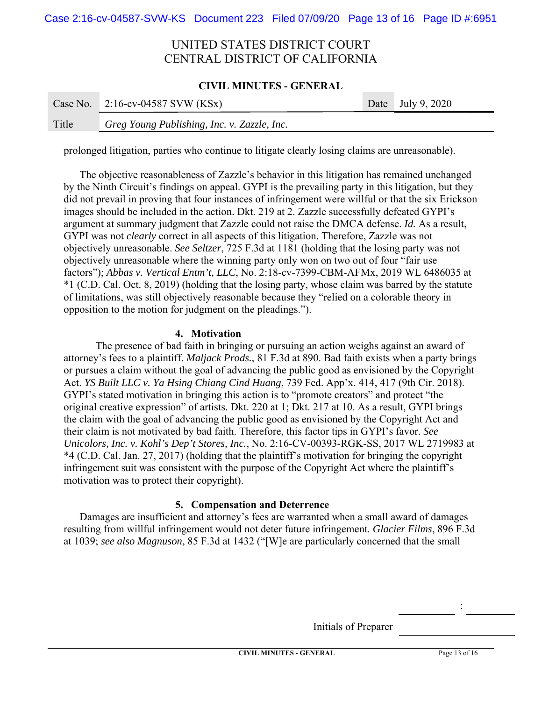### **CIVIL MINUTES - GENERAL**

|       | Case No. $2:16$ -cv-04587 SVW (KSx)         | Date July 9, 2020 |
|-------|---------------------------------------------|-------------------|
| Title | Greg Young Publishing, Inc. v. Zazzle, Inc. |                   |

prolonged litigation, parties who continue to litigate clearly losing claims are unreasonable).

The objective reasonableness of Zazzle's behavior in this litigation has remained unchanged by the Ninth Circuit's findings on appeal. GYPI is the prevailing party in this litigation, but they did not prevail in proving that four instances of infringement were willful or that the six Erickson images should be included in the action. Dkt. 219 at 2. Zazzle successfully defeated GYPI's argument at summary judgment that Zazzle could not raise the DMCA defense. *Id.* As a result, GYPI was not *clearly* correct in all aspects of this litigation. Therefore, Zazzle was not objectively unreasonable. *See Seltzer*, 725 F.3d at 1181 (holding that the losing party was not objectively unreasonable where the winning party only won on two out of four "fair use factors"); *Abbas v. Vertical Entm't, LLC*, No. 2:18-cv-7399-CBM-AFMx, 2019 WL 6486035 at \*1 (C.D. Cal. Oct. 8, 2019) (holding that the losing party, whose claim was barred by the statute of limitations, was still objectively reasonable because they "relied on a colorable theory in opposition to the motion for judgment on the pleadings.").

## **4. Motivation**

The presence of bad faith in bringing or pursuing an action weighs against an award of attorney's fees to a plaintiff. *Maljack Prods.*, 81 F.3d at 890. Bad faith exists when a party brings or pursues a claim without the goal of advancing the public good as envisioned by the Copyright Act. *YS Built LLC v. Ya Hsing Chiang Cind Huang*, 739 Fed. App'x. 414, 417 (9th Cir. 2018). GYPI's stated motivation in bringing this action is to "promote creators" and protect "the original creative expression" of artists. Dkt. 220 at 1; Dkt. 217 at 10. As a result, GYPI brings the claim with the goal of advancing the public good as envisioned by the Copyright Act and their claim is not motivated by bad faith. Therefore, this factor tips in GYPI's favor. *See Unicolors, Inc. v. Kohl's Dep't Stores, Inc.*, No. 2:16-CV-00393-RGK-SS, 2017 WL 2719983 at \*4 (C.D. Cal. Jan. 27, 2017) (holding that the plaintiff's motivation for bringing the copyright infringement suit was consistent with the purpose of the Copyright Act where the plaintiff's motivation was to protect their copyright).

## **5. Compensation and Deterrence**

Damages are insufficient and attorney's fees are warranted when a small award of damages resulting from willful infringement would not deter future infringement. *Glacier Films*, 896 F.3d at 1039; *see also Magnuson*, 85 F.3d at 1432 ("[W]e are particularly concerned that the small

Initials of Preparer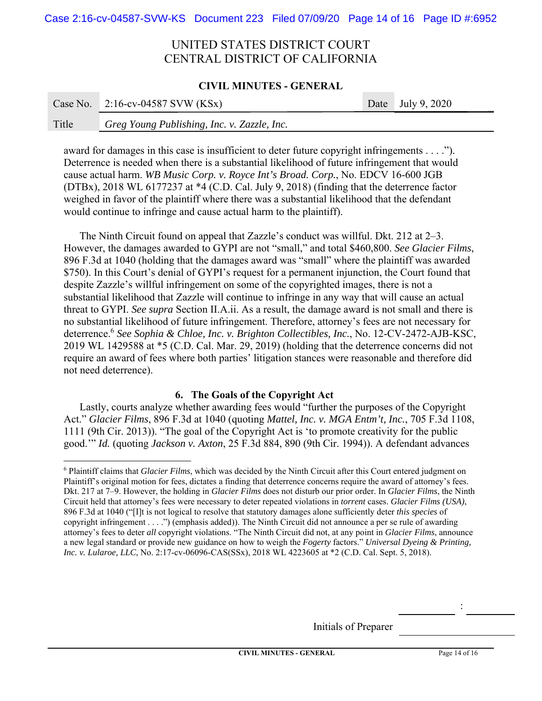### **CIVIL MINUTES - GENERAL**

|       | Case No. $2:16$ -cv-04587 SVW (KSx)         | Date July 9, $2020$ |
|-------|---------------------------------------------|---------------------|
| Title | Greg Young Publishing, Inc. v. Zazzle, Inc. |                     |

award for damages in this case is insufficient to deter future copyright infringements . . . ."). Deterrence is needed when there is a substantial likelihood of future infringement that would cause actual harm. *WB Music Corp. v. Royce Int's Broad. Corp.*, No. EDCV 16-600 JGB (DTBx), 2018 WL 6177237 at \*4 (C.D. Cal. July 9, 2018) (finding that the deterrence factor weighed in favor of the plaintiff where there was a substantial likelihood that the defendant would continue to infringe and cause actual harm to the plaintiff).

The Ninth Circuit found on appeal that Zazzle's conduct was willful. Dkt. 212 at 2–3. However, the damages awarded to GYPI are not "small," and total \$460,800. *See Glacier Films*, 896 F.3d at 1040 (holding that the damages award was "small" where the plaintiff was awarded \$750). In this Court's denial of GYPI's request for a permanent injunction, the Court found that despite Zazzle's willful infringement on some of the copyrighted images, there is not a substantial likelihood that Zazzle will continue to infringe in any way that will cause an actual threat to GYPI. *See supra* Section II.A.ii. As a result, the damage award is not small and there is no substantial likelihood of future infringement. Therefore, attorney's fees are not necessary for deterrence.6 *See Sophia & Chloe, Inc. v. Brighton Collectibles, Inc.*, No. 12-CV-2472-AJB-KSC, 2019 WL 1429588 at \*5 (C.D. Cal. Mar. 29, 2019) (holding that the deterrence concerns did not require an award of fees where both parties' litigation stances were reasonable and therefore did not need deterrence).

## **6. The Goals of the Copyright Act**

Lastly, courts analyze whether awarding fees would "further the purposes of the Copyright Act." *Glacier Films*, 896 F.3d at 1040 (quoting *Mattel, Inc. v. MGA Entm't, Inc.*, 705 F.3d 1108, 1111 (9th Cir. 2013)). "The goal of the Copyright Act is 'to promote creativity for the public good.'" *Id.* (quoting *Jackson v. Axton*, 25 F.3d 884, 890 (9th Cir. 1994)). A defendant advances

Initials of Preparer

<sup>6</sup> Plaintiff claims that *Glacier Films*, which was decided by the Ninth Circuit after this Court entered judgment on Plaintiff's original motion for fees, dictates a finding that deterrence concerns require the award of attorney's fees. Dkt. 217 at 7–9. However, the holding in *Glacier Films* does not disturb our prior order. In *Glacier Films*, the Ninth Circuit held that attorney's fees were necessary to deter repeated violations in *torrent* cases. *Glacier Films (USA)*, 896 F.3d at 1040 ("[I]t is not logical to resolve that statutory damages alone sufficiently deter *this species* of copyright infringement . . . .") (emphasis added)). The Ninth Circuit did not announce a per se rule of awarding attorney's fees to deter *all* copyright violations. "The Ninth Circuit did not, at any point in *Glacier Films*, announce a new legal standard or provide new guidance on how to weigh the *Fogerty* factors." *Universal Dyeing & Printing, Inc. v. Lularoe, LLC*, No. 2:17-cv-06096-CAS(SSx), 2018 WL 4223605 at \*2 (C.D. Cal. Sept. 5, 2018).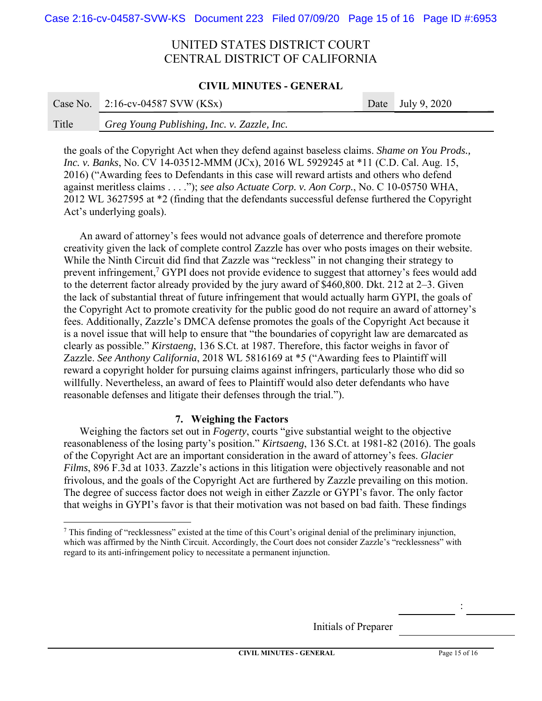### **CIVIL MINUTES - GENERAL**

|       | Case No. $2:16$ -cv-04587 SVW (KSx)         | Date July 9, $2020$ |
|-------|---------------------------------------------|---------------------|
| Title | Greg Young Publishing, Inc. v. Zazzle, Inc. |                     |

the goals of the Copyright Act when they defend against baseless claims. *Shame on You Prods., Inc. v. Banks*, No. CV 14-03512-MMM (JCx), 2016 WL 5929245 at \*11 (C.D. Cal. Aug. 15, 2016) ("Awarding fees to Defendants in this case will reward artists and others who defend against meritless claims . . . ."); *see also Actuate Corp. v. Aon Corp.*, No. C 10-05750 WHA, 2012 WL 3627595 at \*2 (finding that the defendants successful defense furthered the Copyright Act's underlying goals).

An award of attorney's fees would not advance goals of deterrence and therefore promote creativity given the lack of complete control Zazzle has over who posts images on their website. While the Ninth Circuit did find that Zazzle was "reckless" in not changing their strategy to prevent infringement,<sup>7</sup> GYPI does not provide evidence to suggest that attorney's fees would add to the deterrent factor already provided by the jury award of \$460,800. Dkt. 212 at 2–3. Given the lack of substantial threat of future infringement that would actually harm GYPI, the goals of the Copyright Act to promote creativity for the public good do not require an award of attorney's fees. Additionally, Zazzle's DMCA defense promotes the goals of the Copyright Act because it is a novel issue that will help to ensure that "the boundaries of copyright law are demarcated as clearly as possible." *Kirstaeng*, 136 S.Ct. at 1987. Therefore, this factor weighs in favor of Zazzle. *See Anthony California*, 2018 WL 5816169 at \*5 ("Awarding fees to Plaintiff will reward a copyright holder for pursuing claims against infringers, particularly those who did so willfully. Nevertheless, an award of fees to Plaintiff would also deter defendants who have reasonable defenses and litigate their defenses through the trial.").

## **7. Weighing the Factors**

Weighing the factors set out in *Fogerty*, courts "give substantial weight to the objective reasonableness of the losing party's position." *Kirtsaeng*, 136 S.Ct. at 1981-82 (2016). The goals of the Copyright Act are an important consideration in the award of attorney's fees. *Glacier Films*, 896 F.3d at 1033. Zazzle's actions in this litigation were objectively reasonable and not frivolous, and the goals of the Copyright Act are furthered by Zazzle prevailing on this motion. The degree of success factor does not weigh in either Zazzle or GYPI's favor. The only factor that weighs in GYPI's favor is that their motivation was not based on bad faith. These findings

Initials of Preparer

<sup>7</sup> This finding of "recklessness" existed at the time of this Court's original denial of the preliminary injunction, which was affirmed by the Ninth Circuit. Accordingly, the Court does not consider Zazzle's "recklessness" with regard to its anti-infringement policy to necessitate a permanent injunction.